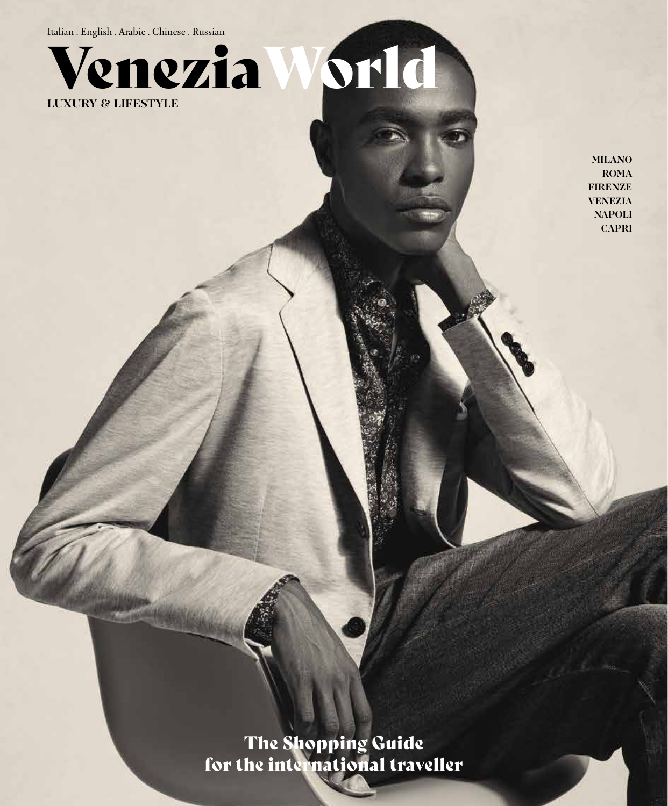Italian . English . Arabic . Chinese . Russian



**MILANO ROMA FIRENZE VENEZIA NAPOLI CAPRI**

The Shopping Guide for the international traveller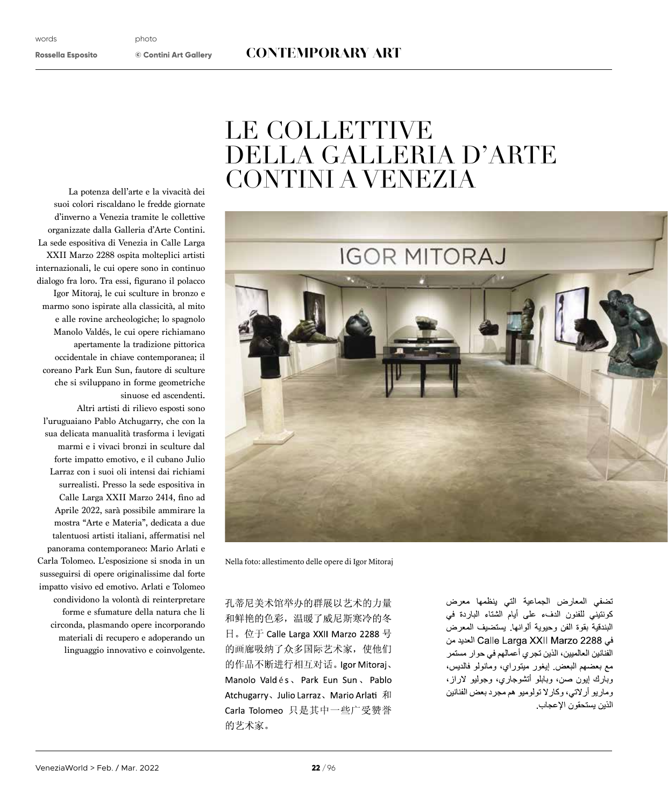## **Rossella Esposito © Contini Art Gallery** CONTEMPORARY ART

## LE COLLETTIVE DELLA GALLERIA D'ARTE CONTINI A VENEZIA



Nella foto: allestimento delle opere di Igor Mitoraj

孔蒂尼美术馆举办的群展以艺术的力量 和鲜艳的色彩,温暖了威尼斯寒冷的冬 日。位于 Calle Larga XXII Marzo 2288 号 的画廊吸纳了众多国际艺术家, 使他们 的作品不断进行相互对话。Igor Mitoraj、 Manolo Valdés, Park Eun Sun, Pablo Atchugarry、Julio Larraz、Mario Arlati 和 Carla Tolomeo 只是其中一些广受赞誉 的艺术家。

تضفى المعارض الجماعية التى ينظمها معرض كونتيني للفنون الدفء على أيام الشتاء الباردة في البندقية بقوة الفن وحبوية ألوانها يستضبف المعرض في Calle Larga XXII Marzo 2288 العديد من الفنانين العالميين، الذين تجر ي أعمالهم في حوار مستمر مع بعضهم البعض إيغور ميتوراي، ومانولو فالديس، وبارك إيون صن، وبابلو أنشوجاري، وجوليو لاراز، وماريو أرلاتي، وكارلا تولوميو هم مجرد بعض الفنانين الذين يستحقون الإعجاب

La potenza dell'arte e la vivacità dei suoi colori riscaldano le fredde giornate d'inverno a Venezia tramite le collettive organizzate dalla Galleria d'Arte Contini. La sede espositiva di Venezia in Calle Larga XXII Marzo 2288 ospita molteplici artisti internazionali, le cui opere sono in continuo dialogo fra loro. Tra essi, fgurano il polacco Igor Mitoraj, le cui sculture in bronzo e marmo sono ispirate alla classicità, al mito e alle rovine archeologiche; lo spagnolo Manolo Valdés, le cui opere richiamano apertamente la tradizione pittorica occidentale in chiave contemporanea; il coreano Park Eun Sun, fautore di sculture che si sviluppano in forme geometriche sinuose ed ascendenti.

Altri artisti di rilievo esposti sono l'uruguaiano Pablo Atchugarry, che con la sua delicata manualità trasforma i levigati marmi e i vivaci bronzi in sculture dal forte impatto emotivo, e il cubano Julio Larraz con i suoi oli intensi dai richiami surrealisti. Presso la sede espositiva in Calle Larga XXII Marzo 2414, fno ad Aprile 2022, sarà possibile ammirare la mostra "Arte e Materia", dedicata a due talentuosi artisti italiani, afermatisi nel panorama contemporaneo: Mario Arlati e Carla Tolomeo. L'esposizione si snoda in un susseguirsi di opere originalissime dal forte impatto visivo ed emotivo. Arlati e Tolomeo condividono la volontà di reinterpretare forme e sfumature della natura che li circonda, plasmando opere incorporando materiali di recupero e adoperando un linguaggio innovativo e coinvolgente.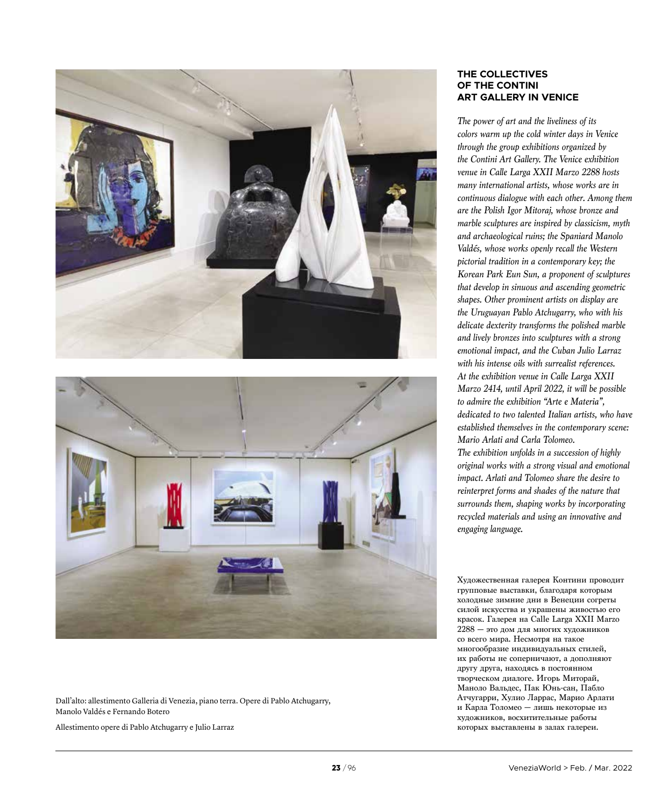



Dall'alto: allestimento Galleria di Venezia, piano terra. Opere di Pablo Atchugarry, Manolo Valdés e Fernando Botero

Allestimento opere di Pablo Atchugarry e Julio Larraz

## **THE COLLECTIVES OF THE CONTINI ART GALLERY IN VENICE**

*The power of art and the liveliness of its colors warm up the cold winter days in Venice through the group exhibitions organized by the Contini Art Gallery. The Venice exhibition venue in Calle Larga XXII Marzo 2288 hosts many international artists, whose works are in continuous dialogue with each other. Among them are the Polish Igor Mitoraj, whose bronze and marble sculptures are inspired by classicism, myth and archaeological ruins; the Spaniard Manolo Valdés, whose works openly recall the Western pictorial tradition in a contemporary key; the Korean Park Eun Sun, a proponent of sculptures that develop in sinuous and ascending geometric shapes. Other prominent artists on display are the Uruguayan Pablo Atchugarry, who with his delicate dexterity transforms the polished marble and lively bronzes into sculptures with a strong emotional impact, and the Cuban Julio Larraz with his intense oils with surrealist references. At the exhibition venue in Calle Larga XXII Marzo 2414, until April 2022, it will be possible to admire the exhibition "Arte e Materia", dedicated to two talented Italian artists, who have established themselves in the contemporary scene: Mario Arlati and Carla Tolomeo. The exhibition unfolds in a succession of highly original works with a strong visual and emotional impact. Arlati and Tolomeo share the desire to reinterpret forms and shades of the nature that surrounds them, shaping works by incorporating recycled materials and using an innovative and* 

Художественная галерея Контини проводит групповые выставки, благодаря которым холодные зимние дни в Венеции согреты силой искусства и украшены живостью его красок. Галерея на Calle Larga XXII Marzo 2288 — это дом для многих художников со всего мира. Несмотря на такое многообразие индивидуальных стилей, их работы не соперничают, а дополняют другу друга, находясь в постоянном творческом диалоге. Игорь Миторай, Маноло Вальдес, Пак Юнь-сан, Пабло Атчугарри, Хулио Ларрас, Марио Арлати и Карла Толомео — лишь некоторые из художников, восхитительные работы которых выставлены в залах галереи.

*engaging language.*